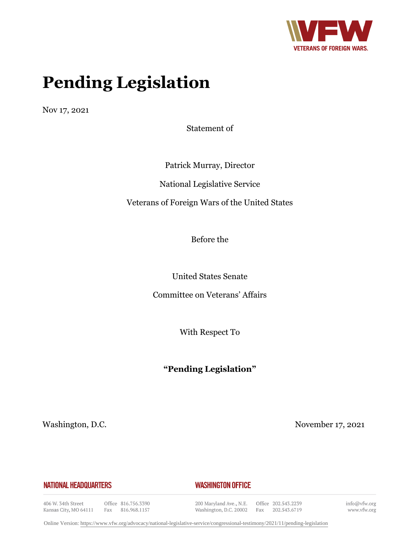

# **Pending Legislation**

Nov 17, 2021

Statement of

Patrick Murray, Director National Legislative Service Veterans of Foreign Wars of the United States

Before the

United States Senate

Committee on Veterans' Affairs

With Respect To

# **"Pending Legislation"**

Washington, D.C. November 17, 2021

#### **NATIONAL HEADQUARTERS**

#### **WASHINGTON OFFICE**

406 W. 34th Street Kansas City, MO 64111

Office 816.756.3390 Fax 816.968.1157 200 Maryland Ave., N.E. Washington, D.C. 20002

Office 202.543.2239 Fax 202.543.6719 info@vfw.org www.vfw.org

Online Version:<https://www.vfw.org/advocacy/national-legislative-service/congressional-testimony/2021/11/pending-legislation>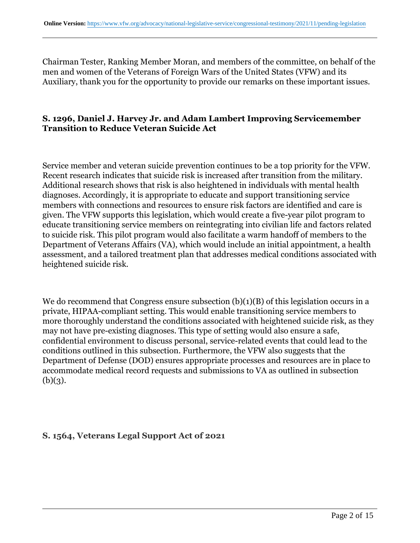Chairman Tester, Ranking Member Moran, and members of the committee, on behalf of the men and women of the Veterans of Foreign Wars of the United States (VFW) and its Auxiliary, thank you for the opportunity to provide our remarks on these important issues.

### **S. 1296, Daniel J. Harvey Jr. and Adam Lambert Improving Servicemember Transition to Reduce Veteran Suicide Act**

Service member and veteran suicide prevention continues to be a top priority for the VFW. Recent research indicates that suicide risk is increased after transition from the military. Additional research shows that risk is also heightened in individuals with mental health diagnoses. Accordingly, it is appropriate to educate and support transitioning service members with connections and resources to ensure risk factors are identified and care is given. The VFW supports this legislation, which would create a five-year pilot program to educate transitioning service members on reintegrating into civilian life and factors related to suicide risk. This pilot program would also facilitate a warm handoff of members to the Department of Veterans Affairs (VA), which would include an initial appointment, a health assessment, and a tailored treatment plan that addresses medical conditions associated with heightened suicide risk.

We do recommend that Congress ensure subsection  $(b)(1)(B)$  of this legislation occurs in a private, HIPAA-compliant setting. This would enable transitioning service members to more thoroughly understand the conditions associated with heightened suicide risk, as they may not have pre-existing diagnoses. This type of setting would also ensure a safe, confidential environment to discuss personal, service-related events that could lead to the conditions outlined in this subsection. Furthermore, the VFW also suggests that the Department of Defense (DOD) ensures appropriate processes and resources are in place to accommodate medical record requests and submissions to VA as outlined in subsection  $(b)(3)$ .

#### **S. 1564, Veterans Legal Support Act of 2021**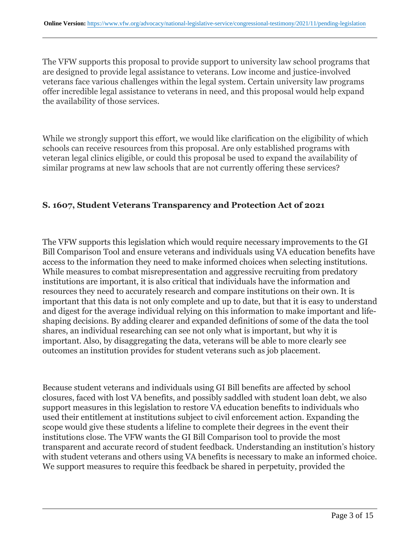The VFW supports this proposal to provide support to university law school programs that are designed to provide legal assistance to veterans. Low income and justice-involved veterans face various challenges within the legal system. Certain university law programs offer incredible legal assistance to veterans in need, and this proposal would help expand the availability of those services.

While we strongly support this effort, we would like clarification on the eligibility of which schools can receive resources from this proposal. Are only established programs with veteran legal clinics eligible, or could this proposal be used to expand the availability of similar programs at new law schools that are not currently offering these services?

#### **S. 1607, Student Veterans Transparency and Protection Act of 2021**

The VFW supports this legislation which would require necessary improvements to the GI Bill Comparison Tool and ensure veterans and individuals using VA education benefits have access to the information they need to make informed choices when selecting institutions. While measures to combat misrepresentation and aggressive recruiting from predatory institutions are important, it is also critical that individuals have the information and resources they need to accurately research and compare institutions on their own. It is important that this data is not only complete and up to date, but that it is easy to understand and digest for the average individual relying on this information to make important and lifeshaping decisions. By adding clearer and expanded definitions of some of the data the tool shares, an individual researching can see not only what is important, but why it is important. Also, by disaggregating the data, veterans will be able to more clearly see outcomes an institution provides for student veterans such as job placement.

Because student veterans and individuals using GI Bill benefits are affected by school closures, faced with lost VA benefits, and possibly saddled with student loan debt, we also support measures in this legislation to restore VA education benefits to individuals who used their entitlement at institutions subject to civil enforcement action. Expanding the scope would give these students a lifeline to complete their degrees in the event their institutions close. The VFW wants the GI Bill Comparison tool to provide the most transparent and accurate record of student feedback. Understanding an institution's history with student veterans and others using VA benefits is necessary to make an informed choice. We support measures to require this feedback be shared in perpetuity, provided the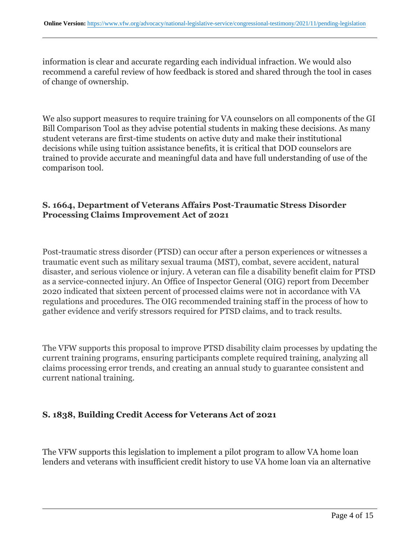information is clear and accurate regarding each individual infraction. We would also recommend a careful review of how feedback is stored and shared through the tool in cases of change of ownership.

We also support measures to require training for VA counselors on all components of the GI Bill Comparison Tool as they advise potential students in making these decisions. As many student veterans are first-time students on active duty and make their institutional decisions while using tuition assistance benefits, it is critical that DOD counselors are trained to provide accurate and meaningful data and have full understanding of use of the comparison tool.

### **S. 1664, Department of Veterans Affairs Post-Traumatic Stress Disorder Processing Claims Improvement Act of 2021**

Post-traumatic stress disorder (PTSD) can occur after a person experiences or witnesses a traumatic event such as military sexual trauma (MST), combat, severe accident, natural disaster, and serious violence or injury. A veteran can file a disability benefit claim for PTSD as a service-connected injury. An Office of Inspector General (OIG) report from December 2020 indicated that sixteen percent of processed claims were not in accordance with VA regulations and procedures. The OIG recommended training staff in the process of how to gather evidence and verify stressors required for PTSD claims, and to track results.

The VFW supports this proposal to improve PTSD disability claim processes by updating the current training programs, ensuring participants complete required training, analyzing all claims processing error trends, and creating an annual study to guarantee consistent and current national training.

#### **S. 1838, Building Credit Access for Veterans Act of 2021**

The VFW supports this legislation to implement a pilot program to allow VA home loan lenders and veterans with insufficient credit history to use VA home loan via an alternative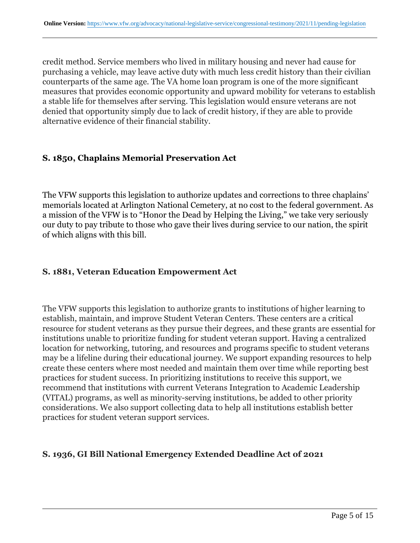credit method. Service members who lived in military housing and never had cause for purchasing a vehicle, may leave active duty with much less credit history than their civilian counterparts of the same age. The VA home loan program is one of the more significant measures that provides economic opportunity and upward mobility for veterans to establish a stable life for themselves after serving. This legislation would ensure veterans are not denied that opportunity simply due to lack of credit history, if they are able to provide alternative evidence of their financial stability.

## **S. 1850, Chaplains Memorial Preservation Act**

The VFW supports this legislation to authorize updates and corrections to three chaplains' memorials located at Arlington National Cemetery, at no cost to the federal government. As a mission of the VFW is to "Honor the Dead by Helping the Living," we take very seriously our duty to pay tribute to those who gave their lives during service to our nation, the spirit of which aligns with this bill.

#### **S. 1881, Veteran Education Empowerment Act**

The VFW supports this legislation to authorize grants to institutions of higher learning to establish, maintain, and improve Student Veteran Centers. These centers are a critical resource for student veterans as they pursue their degrees, and these grants are essential for institutions unable to prioritize funding for student veteran support. Having a centralized location for networking, tutoring, and resources and programs specific to student veterans may be a lifeline during their educational journey. We support expanding resources to help create these centers where most needed and maintain them over time while reporting best practices for student success. In prioritizing institutions to receive this support, we recommend that institutions with current Veterans Integration to Academic Leadership (VITAL) programs, as well as minority-serving institutions, be added to other priority considerations. We also support collecting data to help all institutions establish better practices for student veteran support services.

## **S. 1936, GI Bill National Emergency Extended Deadline Act of 2021**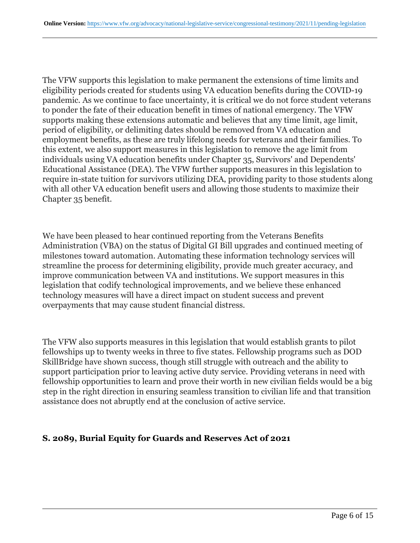The VFW supports this legislation to make permanent the extensions of time limits and eligibility periods created for students using VA education benefits during the COVID-19 pandemic. As we continue to face uncertainty, it is critical we do not force student veterans to ponder the fate of their education benefit in times of national emergency. The VFW supports making these extensions automatic and believes that any time limit, age limit, period of eligibility, or delimiting dates should be removed from VA education and employment benefits, as these are truly lifelong needs for veterans and their families. To this extent, we also support measures in this legislation to remove the age limit from individuals using VA education benefits under Chapter 35, Survivors' and Dependents' Educational Assistance (DEA). The VFW further supports measures in this legislation to require in-state tuition for survivors utilizing DEA, providing parity to those students along with all other VA education benefit users and allowing those students to maximize their Chapter 35 benefit.

We have been pleased to hear continued reporting from the Veterans Benefits Administration (VBA) on the status of Digital GI Bill upgrades and continued meeting of milestones toward automation. Automating these information technology services will streamline the process for determining eligibility, provide much greater accuracy, and improve communication between VA and institutions. We support measures in this legislation that codify technological improvements, and we believe these enhanced technology measures will have a direct impact on student success and prevent overpayments that may cause student financial distress.

The VFW also supports measures in this legislation that would establish grants to pilot fellowships up to twenty weeks in three to five states. Fellowship programs such as DOD SkillBridge have shown success, though still struggle with outreach and the ability to support participation prior to leaving active duty service. Providing veterans in need with fellowship opportunities to learn and prove their worth in new civilian fields would be a big step in the right direction in ensuring seamless transition to civilian life and that transition assistance does not abruptly end at the conclusion of active service.

#### **S. 2089, Burial Equity for Guards and Reserves Act of 2021**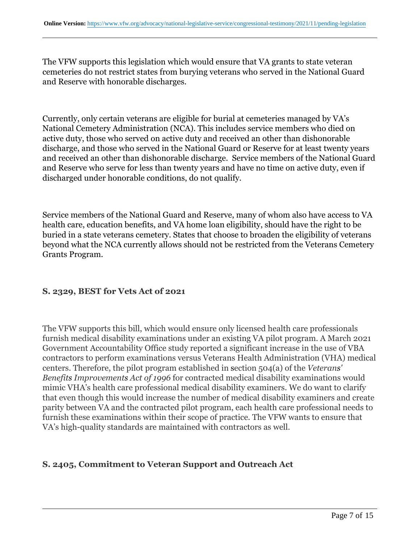The VFW supports this legislation which would ensure that VA grants to state veteran cemeteries do not restrict states from burying veterans who served in the National Guard and Reserve with honorable discharges.

Currently, only certain veterans are eligible for burial at cemeteries managed by VA's National Cemetery Administration (NCA). This includes service members who died on active duty, those who served on active duty and received an other than dishonorable discharge, and those who served in the National Guard or Reserve for at least twenty years and received an other than dishonorable discharge. Service members of the National Guard and Reserve who serve for less than twenty years and have no time on active duty, even if discharged under honorable conditions, do not qualify.

Service members of the National Guard and Reserve, many of whom also have access to VA health care, education benefits, and VA home loan eligibility, should have the right to be buried in a state veterans cemetery. States that choose to broaden the eligibility of veterans beyond what the NCA currently allows should not be restricted from the Veterans Cemetery Grants Program.

## **S. 2329, BEST for Vets Act of 2021**

The VFW supports this bill, which would ensure only licensed health care professionals furnish medical disability examinations under an existing VA pilot program. A March 2021 Government Accountability Office study reported a significant increase in the use of VBA contractors to perform examinations versus Veterans Health Administration (VHA) medical centers. Therefore, the pilot program established in section 504(a) of the *Veterans' Benefits Improvements Act of 1996* for contracted medical disability examinations would mimic VHA's health care professional medical disability examiners. We do want to clarify that even though this would increase the number of medical disability examiners and create parity between VA and the contracted pilot program, each health care professional needs to furnish these examinations within their scope of practice. The VFW wants to ensure that VA's high-quality standards are maintained with contractors as well.

## **S. 2405, Commitment to Veteran Support and Outreach Act**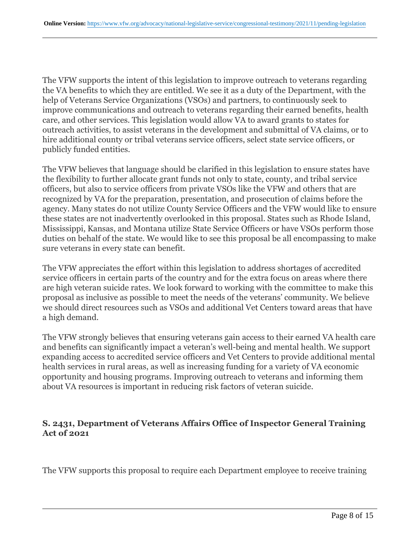The VFW supports the intent of this legislation to improve outreach to veterans regarding the VA benefits to which they are entitled. We see it as a duty of the Department, with the help of Veterans Service Organizations (VSOs) and partners, to continuously seek to improve communications and outreach to veterans regarding their earned benefits, health care, and other services. This legislation would allow VA to award grants to states for outreach activities, to assist veterans in the development and submittal of VA claims, or to hire additional county or tribal veterans service officers, select state service officers, or publicly funded entities.

The VFW believes that language should be clarified in this legislation to ensure states have the flexibility to further allocate grant funds not only to state, county, and tribal service officers, but also to service officers from private VSOs like the VFW and others that are recognized by VA for the preparation, presentation, and prosecution of claims before the agency. Many states do not utilize County Service Officers and the VFW would like to ensure these states are not inadvertently overlooked in this proposal. States such as Rhode Island, Mississippi, Kansas, and Montana utilize State Service Officers or have VSOs perform those duties on behalf of the state. We would like to see this proposal be all encompassing to make sure veterans in every state can benefit.

The VFW appreciates the effort within this legislation to address shortages of accredited service officers in certain parts of the country and for the extra focus on areas where there are high veteran suicide rates. We look forward to working with the committee to make this proposal as inclusive as possible to meet the needs of the veterans' community. We believe we should direct resources such as VSOs and additional Vet Centers toward areas that have a high demand.

The VFW strongly believes that ensuring veterans gain access to their earned VA health care and benefits can significantly impact a veteran's well-being and mental health. We support expanding access to accredited service officers and Vet Centers to provide additional mental health services in rural areas, as well as increasing funding for a variety of VA economic opportunity and housing programs. Improving outreach to veterans and informing them about VA resources is important in reducing risk factors of veteran suicide.

### **S. 2431, Department of Veterans Affairs Office of Inspector General Training Act of 2021**

The VFW supports this proposal to require each Department employee to receive training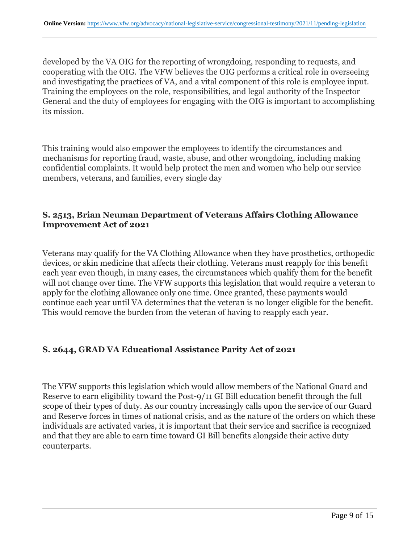developed by the VA OIG for the reporting of wrongdoing, responding to requests, and cooperating with the OIG. The VFW believes the OIG performs a critical role in overseeing and investigating the practices of VA, and a vital component of this role is employee input. Training the employees on the role, responsibilities, and legal authority of the Inspector General and the duty of employees for engaging with the OIG is important to accomplishing its mission.

This training would also empower the employees to identify the circumstances and mechanisms for reporting fraud, waste, abuse, and other wrongdoing, including making confidential complaints. It would help protect the men and women who help our service members, veterans, and families, every single day

## **S. 2513, Brian Neuman Department of Veterans Affairs Clothing Allowance Improvement Act of 2021**

Veterans may qualify for the VA Clothing Allowance when they have prosthetics, orthopedic devices, or skin medicine that affects their clothing. Veterans must reapply for this benefit each year even though, in many cases, the circumstances which qualify them for the benefit will not change over time. The VFW supports this legislation that would require a veteran to apply for the clothing allowance only one time. Once granted, these payments would continue each year until VA determines that the veteran is no longer eligible for the benefit. This would remove the burden from the veteran of having to reapply each year.

## **S. 2644, GRAD VA Educational Assistance Parity Act of 2021**

The VFW supports this legislation which would allow members of the National Guard and Reserve to earn eligibility toward the Post-9/11 GI Bill education benefit through the full scope of their types of duty. As our country increasingly calls upon the service of our Guard and Reserve forces in times of national crisis, and as the nature of the orders on which these individuals are activated varies, it is important that their service and sacrifice is recognized and that they are able to earn time toward GI Bill benefits alongside their active duty counterparts.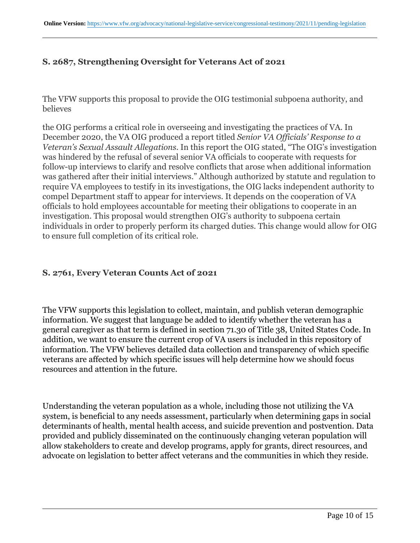## **S. 2687, Strengthening Oversight for Veterans Act of 2021**

The VFW supports this proposal to provide the OIG testimonial subpoena authority, and believes

the OIG performs a critical role in overseeing and investigating the practices of VA. In December 2020, the VA OIG produced a report titled *Senior VA Officials' Response to a Veteran's Sexual Assault Allegations*. In this report the OIG stated, "The OIG's investigation was hindered by the refusal of several senior VA officials to cooperate with requests for follow-up interviews to clarify and resolve conflicts that arose when additional information was gathered after their initial interviews." Although authorized by statute and regulation to require VA employees to testify in its investigations, the OIG lacks independent authority to compel Department staff to appear for interviews. It depends on the cooperation of VA officials to hold employees accountable for meeting their obligations to cooperate in an investigation. This proposal would strengthen OIG's authority to subpoena certain individuals in order to properly perform its charged duties. This change would allow for OIG to ensure full completion of its critical role.

## **S. 2761, Every Veteran Counts Act of 2021**

The VFW supports this legislation to collect, maintain, and publish veteran demographic information. We suggest that language be added to identify whether the veteran has a general caregiver as that term is defined in section 71.30 of Title 38, United States Code. In addition, we want to ensure the current crop of VA users is included in this repository of information. The VFW believes detailed data collection and transparency of which specific veterans are affected by which specific issues will help determine how we should focus resources and attention in the future.

Understanding the veteran population as a whole, including those not utilizing the VA system, is beneficial to any needs assessment, particularly when determining gaps in social determinants of health, mental health access, and suicide prevention and postvention. Data provided and publicly disseminated on the continuously changing veteran population will allow stakeholders to create and develop programs, apply for grants, direct resources, and advocate on legislation to better affect veterans and the communities in which they reside.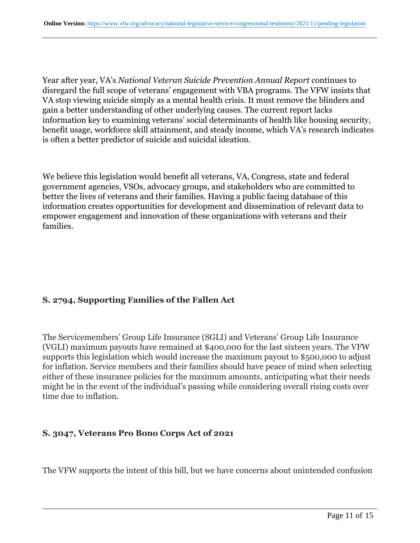Year after year, VA's *National Veteran Suicide Prevention Annual Report* continues to disregard the full scope of veterans' engagement with VBA programs. The VFW insists that VA stop viewing suicide simply as a mental health crisis. It must remove the blinders and gain a better understanding of other underlying causes. The current report lacks information key to examining veterans' social determinants of health like housing security, benefit usage, workforce skill attainment, and steady income, which VA's research indicates is often a better predictor of suicide and suicidal ideation.

We believe this legislation would benefit all veterans, VA, Congress, state and federal government agencies, VSOs, advocacy groups, and stakeholders who are committed to better the lives of veterans and their families. Having a public facing database of this information creates opportunities for development and dissemination of relevant data to empower engagement and innovation of these organizations with veterans and their families.

#### **S. 2794, Supporting Families of the Fallen Act**

The Servicemembers' Group Life Insurance (SGLI) and Veterans' Group Life Insurance (VGLI) maximum payouts have remained at \$400,000 for the last sixteen years. The VFW supports this legislation which would increase the maximum payout to \$500,000 to adjust for inflation. Service members and their families should have peace of mind when selecting either of these insurance policies for the maximum amounts, anticipating what their needs might be in the event of the individual's passing while considering overall rising costs over time due to inflation.

#### **S. 3047, Veterans Pro Bono Corps Act of 2021**

The VFW supports the intent of this bill, but we have concerns about unintended confusion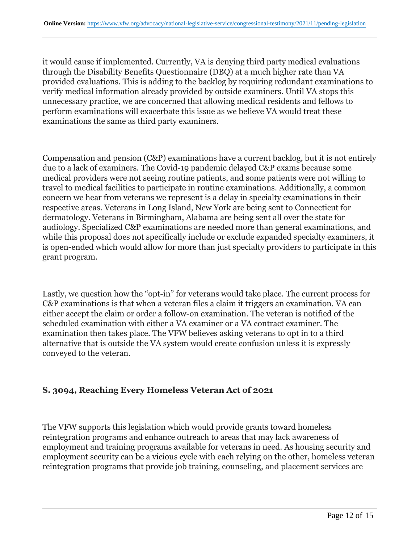it would cause if implemented. Currently, VA is denying third party medical evaluations through the Disability Benefits Questionnaire (DBQ) at a much higher rate than VA provided evaluations. This is adding to the backlog by requiring redundant examinations to verify medical information already provided by outside examiners. Until VA stops this unnecessary practice, we are concerned that allowing medical residents and fellows to perform examinations will exacerbate this issue as we believe VA would treat these examinations the same as third party examiners.

Compensation and pension (C&P) examinations have a current backlog, but it is not entirely due to a lack of examiners. The Covid-19 pandemic delayed C&P exams because some medical providers were not seeing routine patients, and some patients were not willing to travel to medical facilities to participate in routine examinations. Additionally, a common concern we hear from veterans we represent is a delay in specialty examinations in their respective areas. Veterans in Long Island, New York are being sent to Connecticut for dermatology. Veterans in Birmingham, Alabama are being sent all over the state for audiology. Specialized C&P examinations are needed more than general examinations, and while this proposal does not specifically include or exclude expanded specialty examiners, it is open-ended which would allow for more than just specialty providers to participate in this grant program.

Lastly, we question how the "opt-in" for veterans would take place. The current process for C&P examinations is that when a veteran files a claim it triggers an examination. VA can either accept the claim or order a follow-on examination. The veteran is notified of the scheduled examination with either a VA examiner or a VA contract examiner. The examination then takes place. The VFW believes asking veterans to opt in to a third alternative that is outside the VA system would create confusion unless it is expressly conveyed to the veteran.

## **S. 3094, Reaching Every Homeless Veteran Act of 2021**

The VFW supports this legislation which would provide grants toward homeless reintegration programs and enhance outreach to areas that may lack awareness of employment and training programs available for veterans in need. As housing security and employment security can be a vicious cycle with each relying on the other, homeless veteran reintegration programs that provide job training, counseling, and placement services are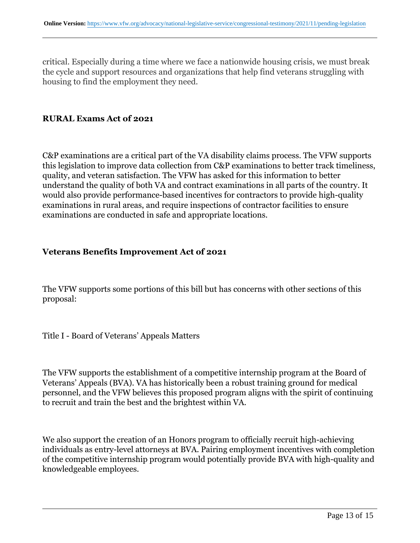critical. Especially during a time where we face a nationwide housing crisis, we must break the cycle and support resources and organizations that help find veterans struggling with housing to find the employment they need.

#### **RURAL Exams Act of 2021**

C&P examinations are a critical part of the VA disability claims process. The VFW supports this legislation to improve data collection from C&P examinations to better track timeliness, quality, and veteran satisfaction. The VFW has asked for this information to better understand the quality of both VA and contract examinations in all parts of the country. It would also provide performance-based incentives for contractors to provide high-quality examinations in rural areas, and require inspections of contractor facilities to ensure examinations are conducted in safe and appropriate locations.

#### **Veterans Benefits Improvement Act of 2021**

The VFW supports some portions of this bill but has concerns with other sections of this proposal:

Title I - Board of Veterans' Appeals Matters

The VFW supports the establishment of a competitive internship program at the Board of Veterans' Appeals (BVA). VA has historically been a robust training ground for medical personnel, and the VFW believes this proposed program aligns with the spirit of continuing to recruit and train the best and the brightest within VA.

We also support the creation of an Honors program to officially recruit high-achieving individuals as entry-level attorneys at BVA. Pairing employment incentives with completion of the competitive internship program would potentially provide BVA with high-quality and knowledgeable employees.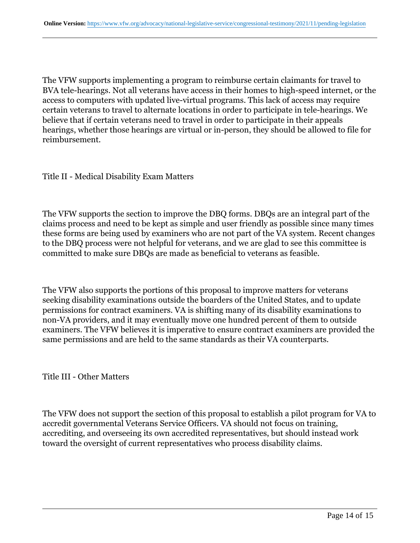The VFW supports implementing a program to reimburse certain claimants for travel to BVA tele-hearings. Not all veterans have access in their homes to high-speed internet, or the access to computers with updated live-virtual programs. This lack of access may require certain veterans to travel to alternate locations in order to participate in tele-hearings. We believe that if certain veterans need to travel in order to participate in their appeals hearings, whether those hearings are virtual or in-person, they should be allowed to file for reimbursement.

Title II - Medical Disability Exam Matters

The VFW supports the section to improve the DBQ forms. DBQs are an integral part of the claims process and need to be kept as simple and user friendly as possible since many times these forms are being used by examiners who are not part of the VA system. Recent changes to the DBQ process were not helpful for veterans, and we are glad to see this committee is committed to make sure DBQs are made as beneficial to veterans as feasible.

The VFW also supports the portions of this proposal to improve matters for veterans seeking disability examinations outside the boarders of the United States, and to update permissions for contract examiners. VA is shifting many of its disability examinations to non-VA providers, and it may eventually move one hundred percent of them to outside examiners. The VFW believes it is imperative to ensure contract examiners are provided the same permissions and are held to the same standards as their VA counterparts.

Title III - Other Matters

The VFW does not support the section of this proposal to establish a pilot program for VA to accredit governmental Veterans Service Officers. VA should not focus on training, accrediting, and overseeing its own accredited representatives, but should instead work toward the oversight of current representatives who process disability claims.